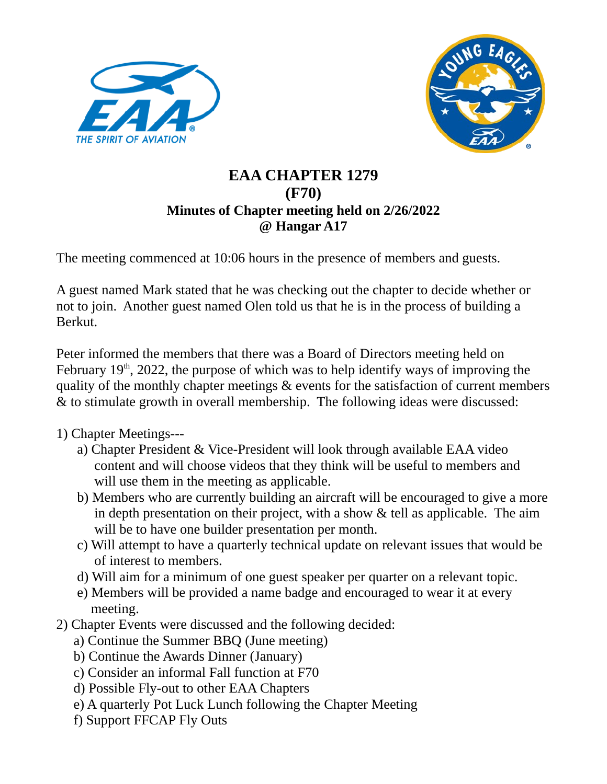



## **EAA CHAPTER 1279 (F70) Minutes of Chapter meeting held on 2/26/2022 @ Hangar A17**

The meeting commenced at 10:06 hours in the presence of members and guests.

A guest named Mark stated that he was checking out the chapter to decide whether or not to join. Another guest named Olen told us that he is in the process of building a Berkut.

Peter informed the members that there was a Board of Directors meeting held on February  $19<sup>th</sup>$ , 2022, the purpose of which was to help identify ways of improving the quality of the monthly chapter meetings & events for the satisfaction of current members & to stimulate growth in overall membership. The following ideas were discussed:

## 1) Chapter Meetings---

- a) Chapter President & Vice-President will look through available EAA video content and will choose videos that they think will be useful to members and will use them in the meeting as applicable.
- b) Members who are currently building an aircraft will be encouraged to give a more in depth presentation on their project, with a show & tell as applicable. The aim will be to have one builder presentation per month.
- c) Will attempt to have a quarterly technical update on relevant issues that would be of interest to members.
- d) Will aim for a minimum of one guest speaker per quarter on a relevant topic.
- e) Members will be provided a name badge and encouraged to wear it at every meeting.
- 2) Chapter Events were discussed and the following decided:
	- a) Continue the Summer BBQ (June meeting)
	- b) Continue the Awards Dinner (January)
	- c) Consider an informal Fall function at F70
	- d) Possible Fly-out to other EAA Chapters
	- e) A quarterly Pot Luck Lunch following the Chapter Meeting
	- f) Support FFCAP Fly Outs